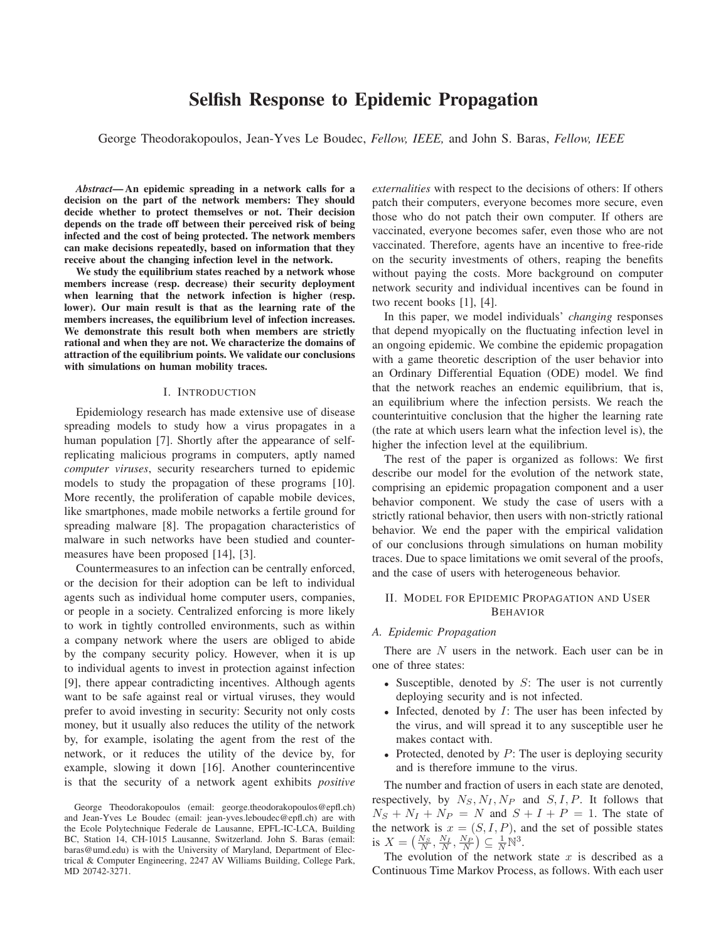# **Selfish Response to Epidemic Propagation**

George Theodorakopoulos, Jean-Yves Le Boudec, *Fellow, IEEE,* and John S. Baras, *Fellow, IEEE*

*Abstract***— An epidemic spreading in a network calls for a decision on the part of the network members: They should decide whether to protect themselves or not. Their decision depends on the trade off between their perceived risk of being infected and the cost of being protected. The network members can make decisions repeatedly, based on information that they receive about the changing infection level in the network.**

**We study the equilibrium states reached by a network whose members increase (resp. decrease) their security deployment when learning that the network infection is higher (resp. lower). Our main result is that as the learning rate of the members increases, the equilibrium level of infection increases. We demonstrate this result both when members are strictly rational and when they are not. We characterize the domains of attraction of the equilibrium points. We validate our conclusions with simulations on human mobility traces.**

## I. INTRODUCTION

Epidemiology research has made extensive use of disease spreading models to study how a virus propagates in a human population [7]. Shortly after the appearance of selfreplicating malicious programs in computers, aptly named *computer viruses*, security researchers turned to epidemic models to study the propagation of these programs [10]. More recently, the proliferation of capable mobile devices, like smartphones, made mobile networks a fertile ground for spreading malware [8]. The propagation characteristics of malware in such networks have been studied and countermeasures have been proposed [14], [3].

Countermeasures to an infection can be centrally enforced, or the decision for their adoption can be left to individual agents such as individual home computer users, companies, or people in a society. Centralized enforcing is more likely to work in tightly controlled environments, such as within a company network where the users are obliged to abide by the company security policy. However, when it is up to individual agents to invest in protection against infection [9], there appear contradicting incentives. Although agents want to be safe against real or virtual viruses, they would prefer to avoid investing in security: Security not only costs money, but it usually also reduces the utility of the network by, for example, isolating the agent from the rest of the network, or it reduces the utility of the device by, for example, slowing it down [16]. Another counterincentive is that the security of a network agent exhibits *positive*

*externalities* with respect to the decisions of others: If others patch their computers, everyone becomes more secure, even those who do not patch their own computer. If others are vaccinated, everyone becomes safer, even those who are not vaccinated. Therefore, agents have an incentive to free-ride on the security investments of others, reaping the benefits without paying the costs. More background on computer network security and individual incentives can be found in two recent books [1], [4].

In this paper, we model individuals' *changing* responses that depend myopically on the fluctuating infection level in an ongoing epidemic. We combine the epidemic propagation with a game theoretic description of the user behavior into an Ordinary Differential Equation (ODE) model. We find that the network reaches an endemic equilibrium, that is, an equilibrium where the infection persists. We reach the counterintuitive conclusion that the higher the learning rate (the rate at which users learn what the infection level is), the higher the infection level at the equilibrium.

The rest of the paper is organized as follows: We first describe our model for the evolution of the network state, comprising an epidemic propagation component and a user behavior component. We study the case of users with a strictly rational behavior, then users with non-strictly rational behavior. We end the paper with the empirical validation of our conclusions through simulations on human mobility traces. Due to space limitations we omit several of the proofs, and the case of users with heterogeneous behavior.

# II. MODEL FOR EPIDEMIC PROPAGATION AND USER BEHAVIOR

## *A. Epidemic Propagation*

There are N users in the network. Each user can be in one of three states:

- Susceptible, denoted by  $S$ : The user is not currently deploying security and is not infected.
- Infected, denoted by  $I$ : The user has been infected by the virus, and will spread it to any susceptible user he makes contact with.
- Protected, denoted by  $P$ : The user is deploying security and is therefore immune to the virus.

The number and fraction of users in each state are denoted, respectively, by  $N_S, N_I, N_P$  and  $S, I, P$ . It follows that  $N_S + N_I + N_P = N$  and  $S + I + P = 1$ . The state of the network is  $x = (S, I, P)$ , and the set of possible states is  $X = \left(\frac{N_S}{N}, \frac{N_I}{N}, \frac{N_P}{N}\right) \subseteq \frac{1}{N} \mathbb{N}^3$ .

The evolution of the network state  $x$  is described as a Continuous Time Markov Process, as follows. With each user

George Theodorakopoulos (email: george.theodorakopoulos@epfl.ch) and Jean-Yves Le Boudec (email: jean-yves.leboudec@epfl.ch) are with the Ecole Polytechnique Federale de Lausanne, EPFL-IC-LCA, Building BC, Station 14, CH-1015 Lausanne, Switzerland. John S. Baras (email: baras@umd.edu) is with the University of Maryland, Department of Electrical & Computer Engineering, 2247 AV Williams Building, College Park, MD 20742-3271.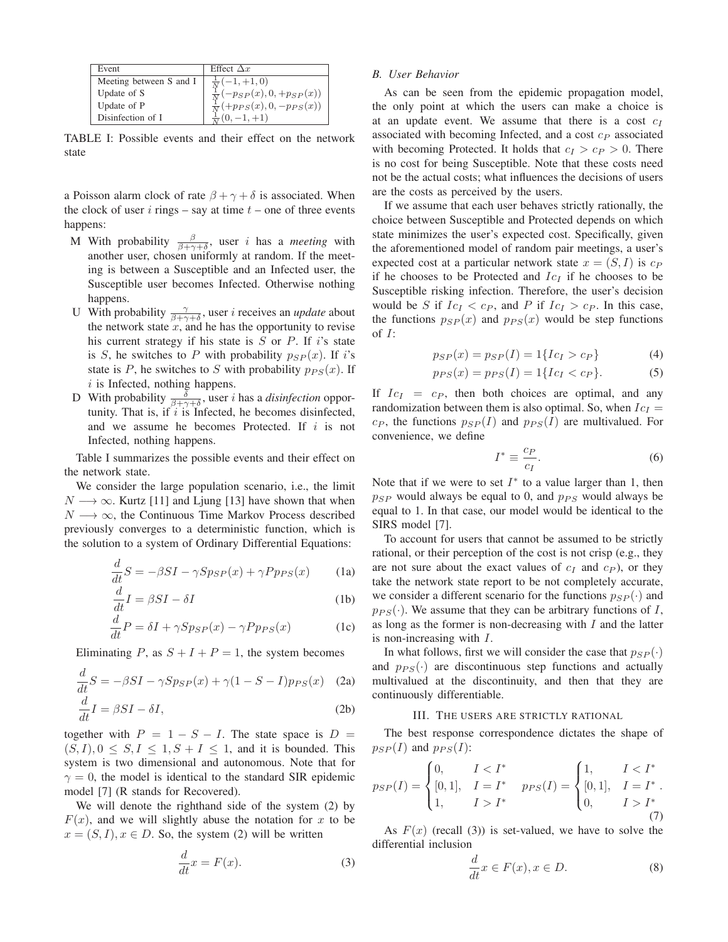| Event                   | Effect $\Delta x$                       |
|-------------------------|-----------------------------------------|
| Meeting between S and I | $\frac{1}{N}(-1, +1, 0)$                |
| Update of S             | $\frac{1}{N}(-p_{SP}(x),0, +p_{SP}(x))$ |
| Update of P             | $\frac{1}{N}(+pp_S(x),0,-pp_S(x))$      |
| Disinfection of I       | $\frac{1}{N}(0,-1,+1)$                  |

TABLE I: Possible events and their effect on the network state

a Poisson alarm clock of rate  $\beta + \gamma + \delta$  is associated. When the clock of user i rings – say at time  $t$  – one of three events happens:

- M With probability  $\frac{\beta}{\beta+\gamma+\delta}$ , user *i* has a *meeting* with another user, chosen uniformly at random. If the meeting is between a Susceptible and an Infected user, the Susceptible user becomes Infected. Otherwise nothing happens.
- U With probability  $\frac{\gamma}{\beta + \gamma + \delta}$ , user *i* receives an *update* about the network state  $x$ , and he has the opportunity to revise his current strategy if his state is  $S$  or  $P$ . If i's state is S, he switches to P with probability  $p_{SP}(x)$ . If i's state is P, he switches to S with probability  $p_{PS}(x)$ . If  $i$  is Infected, nothing happens.
- D With probability  $\frac{\delta}{\beta + \gamma + \delta}$ , user *i* has a *disinfection* opportunity. That is, if  $i$  is Infected, he becomes disinfected, and we assume he becomes Protected. If  $i$  is not Infected, nothing happens.

Table I summarizes the possible events and their effect on the network state.

We consider the large population scenario, i.e., the limit  $N \longrightarrow \infty$ . Kurtz [11] and Ljung [13] have shown that when  $N \longrightarrow \infty$ , the Continuous Time Markov Process described previously converges to a deterministic function, which is the solution to a system of Ordinary Differential Equations:

$$
\frac{d}{dt}S = -\beta SI - \gamma Sp_{SP}(x) + \gamma P p_{PS}(x) \tag{1a}
$$

$$
\frac{d}{dt}I = \beta SI - \delta I \tag{1b}
$$

$$
\frac{d}{dt}P = \delta I + \gamma Sp_{SP}(x) - \gamma P p_{PS}(x)
$$
 (1c)

Eliminating P, as  $S + I + P = 1$ , the system becomes

$$
\frac{d}{dt}S = -\beta SI - \gamma S p_{SP}(x) + \gamma (1 - S - I) p_{PS}(x) \quad \text{(2a)}
$$

$$
\frac{d}{dt}I = \beta SI - \delta I,\tag{2b}
$$

together with  $P = 1 - S - I$ . The state space is  $D =$  $(S, I), 0 \leq S, I \leq 1, S + I \leq 1$ , and it is bounded. This system is two dimensional and autonomous. Note that for  $\gamma = 0$ , the model is identical to the standard SIR epidemic model [7] (R stands for Recovered).

We will denote the righthand side of the system (2) by  $F(x)$ , and we will slightly abuse the notation for x to be  $x = (S, I), x \in D$ . So, the system (2) will be written

$$
\frac{d}{dt}x = F(x). \tag{3}
$$

## *B. User Behavior*

As can be seen from the epidemic propagation model, the only point at which the users can make a choice is at an update event. We assume that there is a cost  $c_I$ associated with becoming Infected, and a cost  $c_P$  associated with becoming Protected. It holds that  $c_I > c_P > 0$ . There is no cost for being Susceptible. Note that these costs need not be the actual costs; what influences the decisions of users are the costs as perceived by the users.

If we assume that each user behaves strictly rationally, the choice between Susceptible and Protected depends on which state minimizes the user's expected cost. Specifically, given the aforementioned model of random pair meetings, a user's expected cost at a particular network state  $x = (S, I)$  is  $c_P$ if he chooses to be Protected and  $Ic_I$  if he chooses to be Susceptible risking infection. Therefore, the user's decision would be S if  $Ic_I < c_P$ , and P if  $Ic_I > c_P$ . In this case, the functions  $p_{SP}(x)$  and  $p_{PS}(x)$  would be step functions of I:

$$
p_{SP}(x) = p_{SP}(I) = 1\{Ic_I > c_P\}
$$
 (4)

$$
p_{PS}(x) = p_{PS}(I) = 1\{Ic_I < c_P\}.\tag{5}
$$

If  $Ic_I = c_P$ , then both choices are optimal, and any randomization between them is also optimal. So, when  $Ic_I$  =  $c_P$ , the functions  $p_{SP}(I)$  and  $p_{PS}(I)$  are multivalued. For convenience, we define

$$
I^* \equiv \frac{c_P}{c_I}.\tag{6}
$$

Note that if we were to set  $I^*$  to a value larger than 1, then  $p_{SP}$  would always be equal to 0, and  $p_{PS}$  would always be equal to 1. In that case, our model would be identical to the SIRS model [7].

To account for users that cannot be assumed to be strictly rational, or their perception of the cost is not crisp (e.g., they are not sure about the exact values of  $c_I$  and  $c_P$ ), or they take the network state report to be not completely accurate, we consider a different scenario for the functions  $p_{SP}(\cdot)$  and  $p_{PS}(\cdot)$ . We assume that they can be arbitrary functions of I, as long as the former is non-decreasing with I and the latter is non-increasing with I.

In what follows, first we will consider the case that  $p_{SP}(\cdot)$ and  $p_{PS}(\cdot)$  are discontinuous step functions and actually multivalued at the discontinuity, and then that they are continuously differentiable.

#### III. THE USERS ARE STRICTLY RATIONAL

The best response correspondence dictates the shape of  $p_{SP}(I)$  and  $p_{PS}(I)$ :

$$
p_{SP}(I) = \begin{cases} 0, & I < I^* \\ [0,1], & I = I^* \\ 1, & I > I^* \end{cases} \quad p_{PS}(I) = \begin{cases} 1, & I < I^* \\ [0,1], & I = I^* \\ 0, & I > I^* \end{cases} \tag{7}
$$

As  $F(x)$  (recall (3)) is set-valued, we have to solve the differential inclusion

$$
\frac{d}{dt}x \in F(x), x \in D.
$$
 (8)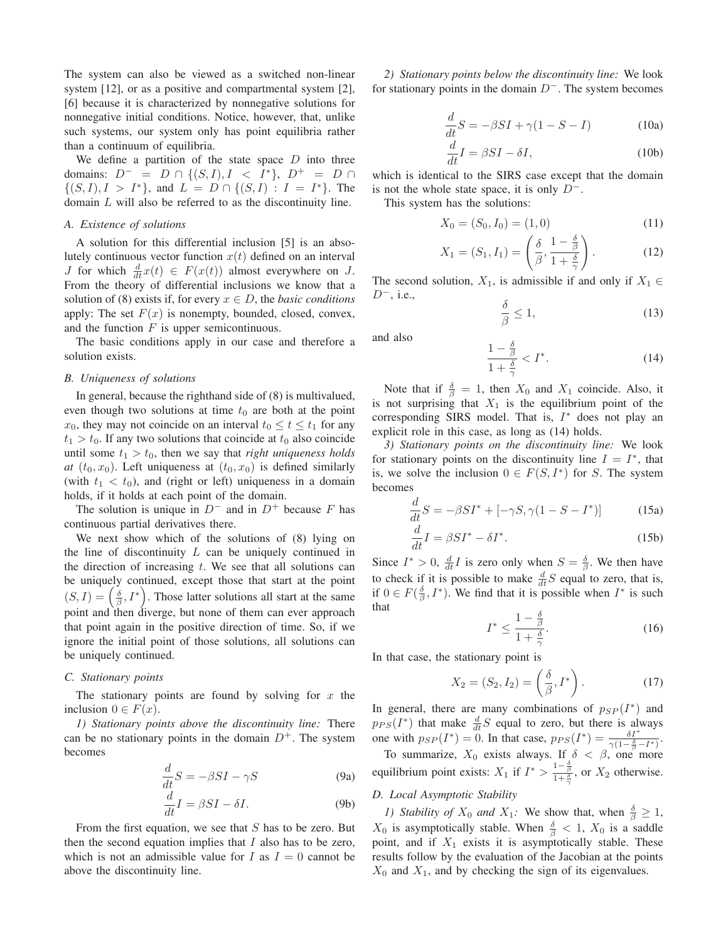The system can also be viewed as a switched non-linear system [12], or as a positive and compartmental system [2], [6] because it is characterized by nonnegative solutions for nonnegative initial conditions. Notice, however, that, unlike such systems, our system only has point equilibria rather than a continuum of equilibria.

We define a partition of the state space  $D$  into three domains:  $D^{-} = D \cap \{(S, I), I \ < I^*\}, D^{+} = D \cap$  $\{(S, I), I > I^*\}$ , and  $L = D \cap \{(S, I) : I = I^*\}$ . The domain L will also be referred to as the discontinuity line.

## *A. Existence of solutions*

A solution for this differential inclusion [5] is an absolutely continuous vector function  $x(t)$  defined on an interval *J* for which  $\frac{d}{dt}x(t) \in F(x(t))$  almost everywhere on *J*. From the theory of differential inclusions we know that a solution of (8) exists if, for every  $x \in D$ , the *basic conditions* apply: The set  $F(x)$  is nonempty, bounded, closed, convex, and the function  $F$  is upper semicontinuous.

The basic conditions apply in our case and therefore a solution exists.

#### *B. Uniqueness of solutions*

In general, because the righthand side of (8) is multivalued, even though two solutions at time  $t_0$  are both at the point  $x_0$ , they may not coincide on an interval  $t_0 \le t \le t_1$  for any  $t_1 > t_0$ . If any two solutions that coincide at  $t_0$  also coincide until some  $t_1 > t_0$ , then we say that *right uniqueness holds at*  $(t_0, x_0)$ . Left uniqueness at  $(t_0, x_0)$  is defined similarly (with  $t_1 < t_0$ ), and (right or left) uniqueness in a domain holds, if it holds at each point of the domain.

The solution is unique in  $D^-$  and in  $D^+$  because F has continuous partial derivatives there.

We next show which of the solutions of (8) lying on the line of discontinuity  $L$  can be uniquely continued in the direction of increasing  $t$ . We see that all solutions can be uniquely continued, except those that start at the point  $(S, I) = \left(\frac{\delta}{\beta}, I^*\right)$ . Those latter solutions all start at the same point and then diverge, but none of them can ever approach that point again in the positive direction of time. So, if we ignore the initial point of those solutions, all solutions can be uniquely continued.

## *C. Stationary points*

The stationary points are found by solving for  $x$  the inclusion  $0 \in F(x)$ .

*1) Stationary points above the discontinuity line:* There can be no stationary points in the domain  $D^+$ . The system becomes

$$
\frac{d}{dt}S = -\beta SI - \gamma S\tag{9a}
$$

$$
\frac{d}{dt}I = \beta SI - \delta I.
$$
 (9b)

From the first equation, we see that  $S$  has to be zero. But then the second equation implies that  $I$  also has to be zero, which is not an admissible value for I as  $I = 0$  cannot be above the discontinuity line.

*2) Stationary points below the discontinuity line:* We look for stationary points in the domain  $D^-$ . The system becomes

$$
\frac{d}{dt}S = -\beta SI + \gamma (1 - S - I)
$$
 (10a)

$$
\frac{d}{dt}I = \beta SI - \delta I,\tag{10b}
$$

which is identical to the SIRS case except that the domain is not the whole state space, it is only  $D^-$ .

This system has the solutions:

and also

$$
X_0 = (S_0, I_0) = (1, 0)
$$
\n<sup>(11)</sup>

$$
X_1 = (S_1, I_1) = \left(\frac{\delta}{\beta}, \frac{1 - \frac{\delta}{\beta}}{1 + \frac{\delta}{\gamma}}\right). \tag{12}
$$

The second solution,  $X_1$ , is admissible if and only if  $X_1 \in$  $D^-$ , i.e.,

$$
\frac{\delta}{\beta} \le 1,\tag{13}
$$

 $(14)$ 

 $1-\frac{\delta}{\beta}$  $1+\frac{\delta}{\gamma}$  $\langle I^*$ 

Note that if  $\frac{\delta}{\beta} = 1$ , then  $X_0$  and  $X_1$  coincide. Also, it is not surprising that  $X_1$  is the equilibrium point of the corresponding SIRS model. That is,  $I^*$  does not play an explicit role in this case, as long as (14) holds.

*3) Stationary points on the discontinuity line:* We look for stationary points on the discontinuity line  $I = I^*$ , that is, we solve the inclusion  $0 \in F(S, I^*)$  for S. The system becomes

$$
\frac{d}{dt}S = -\beta SI^* + [-\gamma S, \gamma (1 - S - I^*)]
$$
(15a)

$$
\frac{d}{dt}I = \beta SI^* - \delta I^*.\tag{15b}
$$

Since  $I^* > 0$ ,  $\frac{d}{dt}I$  is zero only when  $S = \frac{\delta}{\beta}$ . We then have to check if it is possible to make  $\frac{d}{dt}S$  equal to zero, that is, if  $0 \in F(\frac{\delta}{\beta}, I^*)$ . We find that it is possible when  $I^*$  is such that

$$
I^* \le \frac{1 - \frac{\delta}{\beta}}{1 + \frac{\delta}{\gamma}}.\tag{16}
$$

In that case, the stationary point is

$$
X_2 = (S_2, I_2) = \left(\frac{\delta}{\beta}, I^*\right). \tag{17}
$$

In general, there are many combinations of  $p_{SP}(I^*)$  and  $p_{PS}(I^*)$  that make  $\frac{d}{dt}S$  equal to zero, but there is always one with  $p_{SP}(I^*) = 0$ . In that case,  $p_{PS}(I^*) = \frac{\delta I^*}{\gamma (1 - \frac{\delta}{\beta} - I^*)}$ .

To summarize,  $X_0$  exists always. If  $\delta < \beta$ , one more equilibrium point exists:  $X_1$  if  $I^* > \frac{1-\frac{\delta}{\beta}}{1+\frac{\delta}{\gamma}}$ , or  $X_2$  otherwise.

# *D. Local Asymptotic Stability*

*1) Stability of*  $X_0$  *and*  $X_1$ : We show that, when  $\frac{\delta}{\beta} \geq 1$ ,  $X_0$  is asymptotically stable. When  $\frac{\delta}{\beta} < 1$ ,  $X_0$  is a saddle point, and if  $X_1$  exists it is asymptotically stable. These results follow by the evaluation of the Jacobian at the points  $X_0$  and  $X_1$ , and by checking the sign of its eigenvalues.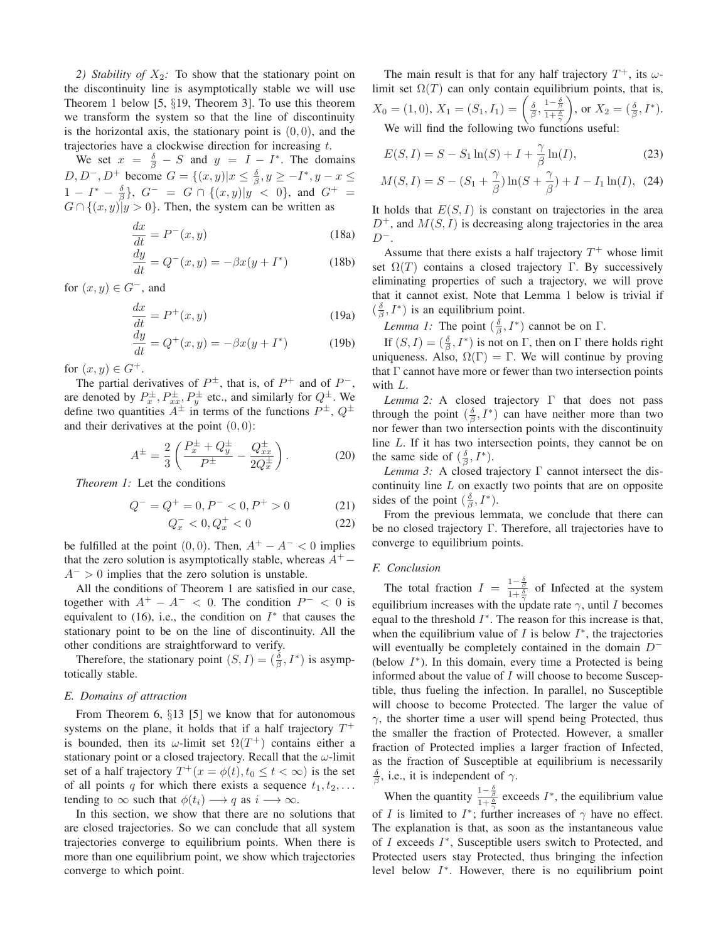2) Stability of  $X_2$ : To show that the stationary point on the discontinuity line is asymptotically stable we will use Theorem 1 below [5, §19, Theorem 3]. To use this theorem we transform the system so that the line of discontinuity is the horizontal axis, the stationary point is  $(0, 0)$ , and the trajectories have a clockwise direction for increasing t.

We set  $x = \frac{\delta}{\beta} - S$  and  $y = I - I^*$ . The domains D, D<sup>-</sup>, D<sup>+</sup> become  $G = \{(x, y)|x \le \frac{\delta}{\beta}, y \ge -I^*, y - x \le$  $1 - I^* - \frac{\delta}{\beta}$ ,  $G^- = G \cap \{(x, y)|y \leq 0\}$ , and  $G^+ =$  $G \cap \{(x, y)|y > 0\}$ . Then, the system can be written as

$$
\frac{dx}{dt} = P^-(x, y) \tag{18a}
$$

$$
\frac{dy}{dt} = Q^-(x, y) = -\beta x (y + I^*)\tag{18b}
$$

for  $(x, y) \in G^-$ , and

$$
\frac{dx}{dt} = P^+(x, y) \tag{19a}
$$

$$
\frac{dy}{dt} = Q^+(x, y) = -\beta x (y + I^*)\tag{19b}
$$

for  $(x, y) \in G^+$ .

The partial derivatives of  $P^{\pm}$ , that is, of  $P^+$  and of  $P^-$ , are denoted by  $P_x^{\pm}$ ,  $P_{xx}^{\pm}$ ,  $P_y^{\pm}$  etc., and similarly for  $Q^{\pm}$ . We define two quantities  $A^{\pm}$  in terms of the functions  $P^{\pm}$ ,  $Q^{\pm}$ and their derivatives at the point  $(0, 0)$ :

$$
A^{\pm} = \frac{2}{3} \left( \frac{P_x^{\pm} + Q_y^{\pm}}{P^{\pm}} - \frac{Q_{xx}^{\pm}}{2Q_x^{\pm}} \right). \tag{20}
$$

*Theorem 1:* Let the conditions

$$
Q^- = Q^+ = 0, P^- < 0, P^+ > 0 \tag{21}
$$

$$
Q_x^- < 0, Q_x^+ < 0 \tag{22}
$$

be fulfilled at the point  $(0, 0)$ . Then,  $A^+ - A^- < 0$  implies that the zero solution is asymptotically stable, whereas  $A^+$  −  $A<sup>-</sup> > 0$  implies that the zero solution is unstable.

All the conditions of Theorem 1 are satisfied in our case, together with  $A^+ - A^- < 0$ . The condition  $P^- < 0$  is equivalent to (16), i.e., the condition on  $I^*$  that causes the stationary point to be on the line of discontinuity. All the other conditions are straightforward to verify.

Therefore, the stationary point  $(S, I) = (\frac{\delta}{\beta}, I^*)$  is asymptotically stable.

#### *E. Domains of attraction*

From Theorem 6,  $\S$ 13 [5] we know that for autonomous systems on the plane, it holds that if a half trajectory  $T^+$ is bounded, then its  $\omega$ -limit set  $\Omega(T^+)$  contains either a stationary point or a closed trajectory. Recall that the  $\omega$ -limit set of a half trajectory  $T^+(x = \phi(t), t_0 \le t < \infty)$  is the set of all points q for which there exists a sequence  $t_1, t_2, \ldots$ tending to  $\infty$  such that  $\phi(t_i) \longrightarrow q$  as  $i \longrightarrow \infty$ .

In this section, we show that there are no solutions that are closed trajectories. So we can conclude that all system trajectories converge to equilibrium points. When there is more than one equilibrium point, we show which trajectories converge to which point.

The main result is that for any half trajectory  $T^+$ , its  $\omega$ limit set  $\Omega(T)$  can only contain equilibrium points, that is,  $X_0 = (1,0), X_1 = (S_1,I_1) = \begin{pmatrix} \frac{\delta}{\beta}, \frac{1-\frac{\delta}{\beta}}{1+\frac{\delta}{\gamma}} \end{pmatrix}$ ), or  $X_2 = (\frac{\delta}{\beta}, I^*)$ .

We will find the following two functions useful:

$$
E(S, I) = S - S_1 \ln(S) + I + \frac{\gamma}{\beta} \ln(I),\tag{23}
$$

$$
M(S, I) = S - (S_1 + \frac{\gamma}{\beta})\ln(S + \frac{\gamma}{\beta}) + I - I_1 \ln(I), \quad (24)
$$

It holds that  $E(S, I)$  is constant on trajectories in the area  $D^+$ , and  $M(S, I)$  is decreasing along trajectories in the area  $D^-$ .

Assume that there exists a half trajectory  $T^+$  whose limit set  $\Omega(T)$  contains a closed trajectory Γ. By successively eliminating properties of such a trajectory, we will prove that it cannot exist. Note that Lemma 1 below is trivial if  $(\frac{\delta}{\beta}, I^*)$  is an equilibrium point.

*Lemma 1:* The point  $(\frac{\delta}{\beta}, I^*)$  cannot be on  $\Gamma$ .

If  $(S, I) = (\frac{\delta}{\beta}, I^*)$  is not on  $\Gamma$ , then on  $\Gamma$  there holds right uniqueness. Also,  $\Omega(\Gamma) = \Gamma$ . We will continue by proving that  $\Gamma$  cannot have more or fewer than two intersection points with L.

*Lemma 2:* A closed trajectory Γ that does not pass through the point  $(\frac{\delta}{\beta}, I^*)$  can have neither more than two nor fewer than two intersection points with the discontinuity line L. If it has two intersection points, they cannot be on the same side of  $(\frac{\delta}{\beta}, I^*)$ .

*Lemma 3:* A closed trajectory Γ cannot intersect the discontinuity line L on exactly two points that are on opposite sides of the point  $(\frac{\delta}{\beta}, I^*)$ .

From the previous lemmata, we conclude that there can be no closed trajectory Γ. Therefore, all trajectories have to converge to equilibrium points.

## *F. Conclusion*

The total fraction  $I = \frac{1-\frac{\delta}{\beta}}{1+\frac{\delta}{\gamma}}$  of Infected at the system equilibrium increases with the update rate  $\gamma$ , until I becomes equal to the threshold  $I^*$ . The reason for this increase is that, when the equilibrium value of  $I$  is below  $I^*$ , the trajectories will eventually be completely contained in the domain  $D^-$ (below  $I^*$ ). In this domain, every time a Protected is being informed about the value of  $I$  will choose to become Susceptible, thus fueling the infection. In parallel, no Susceptible will choose to become Protected. The larger the value of  $\gamma$ , the shorter time a user will spend being Protected, thus the smaller the fraction of Protected. However, a smaller fraction of Protected implies a larger fraction of Infected, as the fraction of Susceptible at equilibrium is necessarily  $\frac{\delta}{\beta}$ , i.e., it is independent of  $\gamma$ .

When the quantity  $\frac{1-\frac{\delta}{\beta}}{1+\frac{\delta}{\gamma}}$  exceeds  $I^*$ , the equilibrium value of *I* is limited to  $I^*$ ; further increases of  $\gamma$  have no effect. The explanation is that, as soon as the instantaneous value of  $I$  exceeds  $I^*$ , Susceptible users switch to Protected, and Protected users stay Protected, thus bringing the infection level below  $I^*$ . However, there is no equilibrium point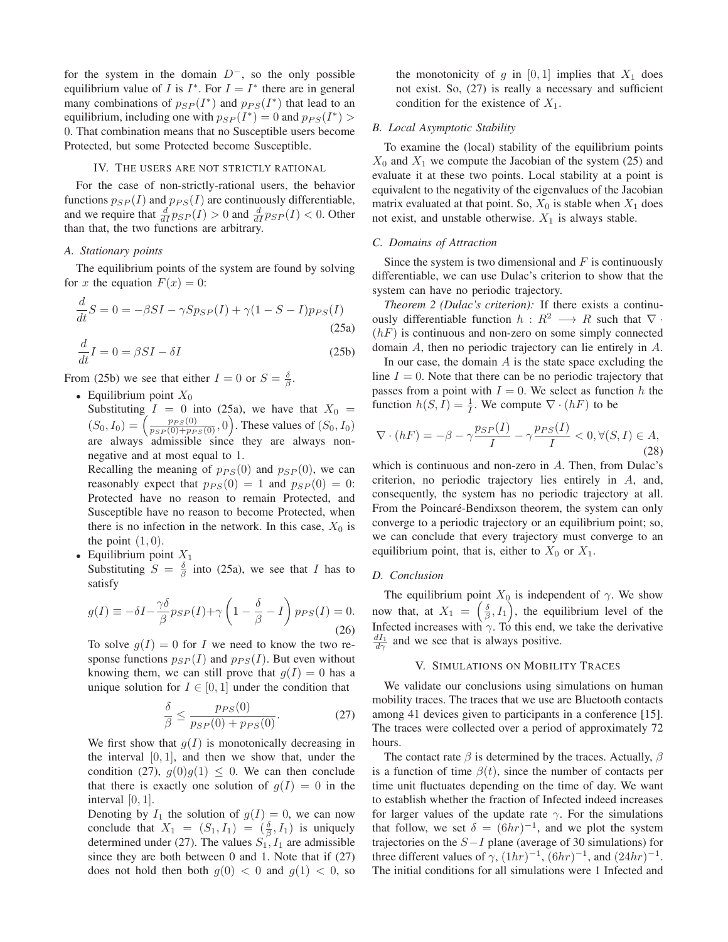for the system in the domain  $D^-$ , so the only possible equilibrium value of *I* is  $I^*$ . For  $I = I^*$  there are in general many combinations of  $p_{SP}(I^*)$  and  $p_{PS}(I^*)$  that lead to an equilibrium, including one with  $p_{SP}(I^*) = 0$  and  $p_{PS}(I^*) > 0$ 0. That combination means that no Susceptible users become Protected, but some Protected become Susceptible.

#### IV. THE USERS ARE NOT STRICTLY RATIONAL

For the case of non-strictly-rational users, the behavior functions  $p_{SP}(I)$  and  $p_{PS}(I)$  are continuously differentiable, and we require that  $\frac{d}{dI} p_{SP}(I) > 0$  and  $\frac{d}{dI} p_{SP}(I) < 0$ . Other than that, the two functions are arbitrary.

## *A. Stationary points*

The equilibrium points of the system are found by solving for x the equation  $F(x) = 0$ :

$$
\frac{d}{dt}S = 0 = -\beta SI - \gamma Sp_{SP}(I) + \gamma (1 - S - I) p_{PS}(I)
$$
\n(25a)\n
$$
\frac{d}{dt}I = 0 = \beta SI - \delta I
$$
\n(25b)

From (25b) we see that either  $I = 0$  or  $S = \frac{\delta}{\beta}$ .

• Equilibrium point  $X_0$ 

Substituting  $I = 0$  into (25a), we have that  $X_0 =$  $(S_0, I_0) = \left(\frac{p_{PS}(0)}{p_{SP}(0) + p_{PS}(0)}, 0\right)$ . These values of  $(S_0, I_0)$ are always admissible since they are always nonnegative and at most equal to 1.

Recalling the meaning of  $p_{PS}(0)$  and  $p_{SP}(0)$ , we can reasonably expect that  $p_{PS}(0) = 1$  and  $p_{SP}(0) = 0$ : Protected have no reason to remain Protected, and Susceptible have no reason to become Protected, when there is no infection in the network. In this case,  $X_0$  is the point  $(1, 0)$ .

• Equilibrium point  $X_1$ 

Substituting  $S = \frac{\delta}{\beta}$  into (25a), we see that I has to satisfy

$$
g(I) \equiv -\delta I - \frac{\gamma \delta}{\beta} p_{SP}(I) + \gamma \left( 1 - \frac{\delta}{\beta} - I \right) p_{PS}(I) = 0.
$$
\n(26)

To solve  $g(I) = 0$  for I we need to know the two response functions  $p_{SP}(I)$  and  $p_{PS}(I)$ . But even without knowing them, we can still prove that  $g(I) = 0$  has a unique solution for  $I \in [0, 1]$  under the condition that

$$
\frac{\delta}{\beta} \le \frac{p_{PS}(0)}{p_{SP}(0) + p_{PS}(0)}.\tag{27}
$$

We first show that  $q(I)$  is monotonically decreasing in the interval  $[0, 1]$ , and then we show that, under the condition (27),  $g(0)g(1) \leq 0$ . We can then conclude that there is exactly one solution of  $g(I) = 0$  in the interval  $[0, 1]$ .

Denoting by  $I_1$  the solution of  $g(I) = 0$ , we can now conclude that  $X_1 = (S_1, I_1) = (\frac{\delta}{\beta}, I_1)$  is uniquely determined under (27). The values  $S_1$ ,  $I_1$  are admissible since they are both between  $0$  and  $1$ . Note that if  $(27)$ does not hold then both  $g(0) < 0$  and  $g(1) < 0$ , so

the monotonicity of g in [0, 1] implies that  $X_1$  does not exist. So, (27) is really a necessary and sufficient condition for the existence of  $X_1$ .

### *B. Local Asymptotic Stability*

To examine the (local) stability of the equilibrium points  $X_0$  and  $X_1$  we compute the Jacobian of the system (25) and evaluate it at these two points. Local stability at a point is equivalent to the negativity of the eigenvalues of the Jacobian matrix evaluated at that point. So,  $X_0$  is stable when  $X_1$  does not exist, and unstable otherwise.  $X_1$  is always stable.

#### *C. Domains of Attraction*

Since the system is two dimensional and  $F$  is continuously differentiable, we can use Dulac's criterion to show that the system can have no periodic trajectory.

*Theorem 2 (Dulac's criterion):* If there exists a continuously differentiable function  $h : R^2 \longrightarrow R$  such that  $\nabla \cdot$  $(hF)$  is continuous and non-zero on some simply connected domain A, then no periodic trajectory can lie entirely in A.

In our case, the domain  $A$  is the state space excluding the line  $I = 0$ . Note that there can be no periodic trajectory that passes from a point with  $I = 0$ . We select as function h the function  $h(S, I) = \frac{1}{I}$ . We compute  $\nabla \cdot (hF)$  to be

$$
\nabla \cdot (hF) = -\beta - \gamma \frac{p_{SP}(I)}{I} - \gamma \frac{p_{PS}(I)}{I} < 0, \forall (S, I) \in A,\tag{28}
$$

which is continuous and non-zero in A. Then, from Dulac's criterion, no periodic trajectory lies entirely in A, and, consequently, the system has no periodic trajectory at all. From the Poincaré-Bendixson theorem, the system can only converge to a periodic trajectory or an equilibrium point; so, we can conclude that every trajectory must converge to an equilibrium point, that is, either to  $X_0$  or  $X_1$ .

## *D. Conclusion*

The equilibrium point  $X_0$  is independent of  $\gamma$ . We show now that, at  $X_1 = \left(\frac{\delta}{\beta}, I_1\right)$ , the equilibrium level of the Infected increases with  $\gamma$ . To this end, we take the derivative  $\frac{dI_1}{d\gamma}$  and we see that is always positive.

# V. SIMULATIONS ON MOBILITY TRACES

We validate our conclusions using simulations on human mobility traces. The traces that we use are Bluetooth contacts among 41 devices given to participants in a conference [15]. The traces were collected over a period of approximately 72 hours.

The contact rate  $\beta$  is determined by the traces. Actually,  $\beta$ is a function of time  $\beta(t)$ , since the number of contacts per time unit fluctuates depending on the time of day. We want to establish whether the fraction of Infected indeed increases for larger values of the update rate  $\gamma$ . For the simulations that follow, we set  $\delta = (6hr)^{-1}$ , and we plot the system trajectories on the S−I plane (average of 30 simulations) for three different values of  $\gamma$ ,  $(1hr)^{-1}$ ,  $(6hr)^{-1}$ , and  $(24hr)^{-1}$ . The initial conditions for all simulations were 1 Infected and